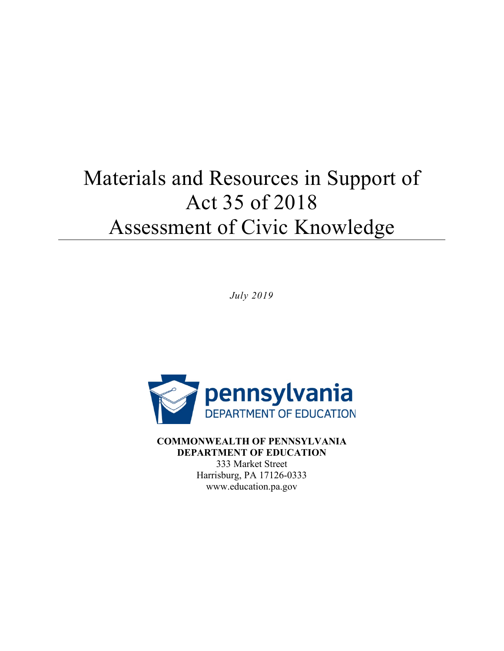# Materials and Resources in Support of Act 35 of 2018 Assessment of Civic Knowledge

*July 2019* 



**COMMONWEALTH OF PENNSYLVANIA DEPARTMENT OF EDUCATION**  333 Market Street Harrisburg, PA 17126-0333 <www.education.pa.gov>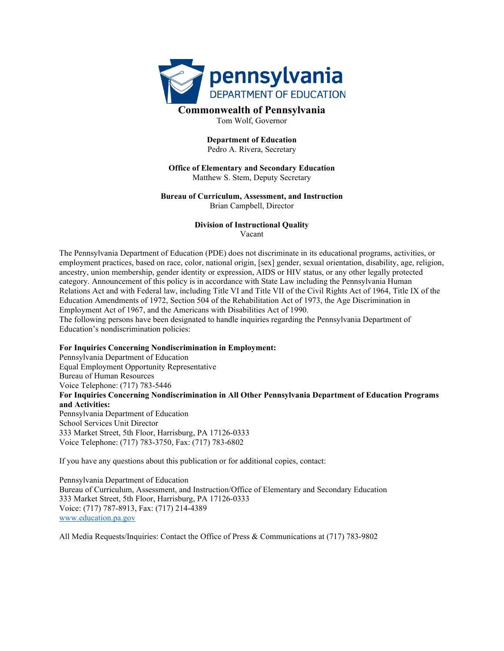

Tom Wolf, Governor

#### **Department of Education**  Pedro A. Rivera, Secretary

#### **Office of Elementary and Secondary Education**  Matthew S. Stem, Deputy Secretary

#### **Bureau of Curriculum, Assessment, and Instruction**  Brian Campbell, Director

#### **Division of Instructional Quality**  Vacant

 The Pennsylvania Department of Education (PDE) does not discriminate in its educational programs, activities, or employment practices, based on race, color, national origin, [sex] gender, sexual orientation, disability, age, religion, ancestry, union membership, gender identity or expression, AIDS or HIV status, or any other legally protected category. Announcement of this policy is in accordance with State Law including the Pennsylvania Human Relations Act and with Federal law, including Title VI and Title VII of the Civil Rights Act of 1964, Title IX of the Education Amendments of 1972, Section 504 of the Rehabilitation Act of 1973, the Age Discrimination in Employment Act of 1967, and the Americans with Disabilities Act of 1990.

The following persons have been designated to handle inquiries regarding the Pennsylvania Department of Education's nondiscrimination policies:

#### **For Inquiries Concerning Nondiscrimination in Employment:**

 Pennsylvania Department of Education Equal Employment Opportunity Representative Bureau of Human Resources Voice Telephone: (717) 783-5446 **For Inquiries Concerning Nondiscrimination in All Other Pennsylvania Department of Education Programs and Activities:**  Pennsylvania Department of Education School Services Unit Director 333 Market Street, 5th Floor, Harrisburg, PA 17126-0333 Voice Telephone: (717) 783-3750, Fax: (717) 783-6802

If you have any questions about this publication or for additional copies, contact:

Pennsylvania Department of Education Bureau of Curriculum, Assessment, and Instruction/Office of Elementary and Secondary Education 333 Market Street, 5th Floor, Harrisburg, PA 17126-0333 Voice: (717) 787-8913, Fax: (717) 214-4389 <www.education.pa.gov>

All Media Requests/Inquiries: Contact the Office of Press & Communications at (717) 783-9802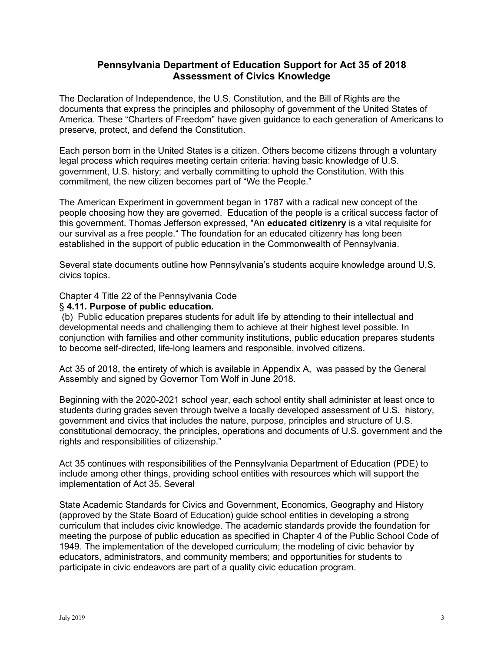#### **Pennsylvania Department of Education Support for Act 35 of 2018 Assessment of Civics Knowledge**

The Declaration of Independence, the U.S. Constitution, and the Bill of Rights are the documents that express the principles and philosophy of government of the United States of America. These "Charters of Freedom" have given guidance to each generation of Americans to preserve, protect, and defend the Constitution.

 Each person born in the United States is a citizen. Others become citizens through a voluntary legal process which requires meeting certain criteria: having basic knowledge of U.S. government, U.S. history; and verbally committing to uphold the Constitution. With this commitment, the new citizen becomes part of "We the People."

 people choosing how they are governed. Education of the people is a critical success factor of established in the support of public education in the Commonwealth of Pennsylvania. The American Experiment in government began in 1787 with a radical new concept of the this government. Thomas Jefferson expressed, "An **educated citizenry** is a vital requisite for our survival as a free people." The foundation for an educated citizenry has long been

Several state documents outline how Pennsylvania's students acquire knowledge around U.S. civics topics.

Chapter 4 Title 22 of the Pennsylvania Code § **4.11. Purpose of public education.** 

 developmental needs and challenging them to achieve at their highest level possible. In (b) Public education prepares students for adult life by attending to their intellectual and conjunction with families and other community institutions, public education prepares students to become self-directed, life-long learners and responsible, involved citizens.

Assembly and signed by Governor Tom Wolf in June 2018. Act 35 of 2018, the entirety of which is available in Appendix A, was passed by the General

 students during grades seven through twelve a locally developed assessment of U.S. history, Beginning with the 2020-2021 school year, each school entity shall administer at least once to government and civics that includes the nature, purpose, principles and structure of U.S. constitutional democracy, the principles, operations and documents of U.S. government and the rights and responsibilities of citizenship."

 Act 35 continues with responsibilities of the Pennsylvania Department of Education (PDE) to implementation of Act 35. Several include among other things, providing school entities with resources which will support the

 curriculum that includes civic knowledge. The academic standards provide the foundation for State Academic Standards for Civics and Government, Economics, Geography and History (approved by the State Board of Education) guide school entities in developing a strong meeting the purpose of public education as specified in Chapter 4 of the Public School Code of 1949. The implementation of the developed curriculum; the modeling of civic behavior by educators, administrators, and community members; and opportunities for students to participate in civic endeavors are part of a quality civic education program.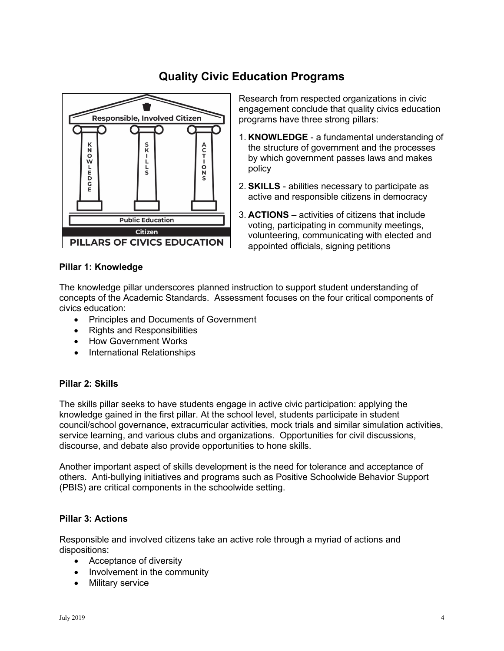### **Quality Civic Education Programs**



Research from respected organizations in civic engagement conclude that quality civics education programs have three strong pillars:

- 1. **KNOWLEDGE**  a fundamental understanding of the structure of government and the processes by which government passes laws and makes policy
- 2. **SKILLS**  abilities necessary to participate as active and responsible citizens in democracy
- 3. **ACTIONS**  activities of citizens that include voting, participating in community meetings, volunteering, communicating with elected and appointed officials, signing petitions

#### **Pillar 1: Knowledge**

The knowledge pillar underscores planned instruction to support student understanding of concepts of the Academic Standards. Assessment focuses on the four critical components of civics education:

- Principles and Documents of Government
- Rights and Responsibilities
- How Government Works
- International Relationships

#### **Pillar 2: Skills**

 The skills pillar seeks to have students engage in active civic participation: applying the discourse, and debate also provide opportunities to hone skills. knowledge gained in the first pillar. At the school level, students participate in student council/school governance, extracurricular activities, mock trials and similar simulation activities, service learning, and various clubs and organizations. Opportunities for civil discussions,

 others. Anti-bullying initiatives and programs such as Positive Schoolwide Behavior Support Another important aspect of skills development is the need for tolerance and acceptance of (PBIS) are critical components in the schoolwide setting.

### **Pillar 3: Actions**

Responsible and involved citizens take an active role through a myriad of actions and dispositions:

- Acceptance of diversity
- Involvement in the community
- Military service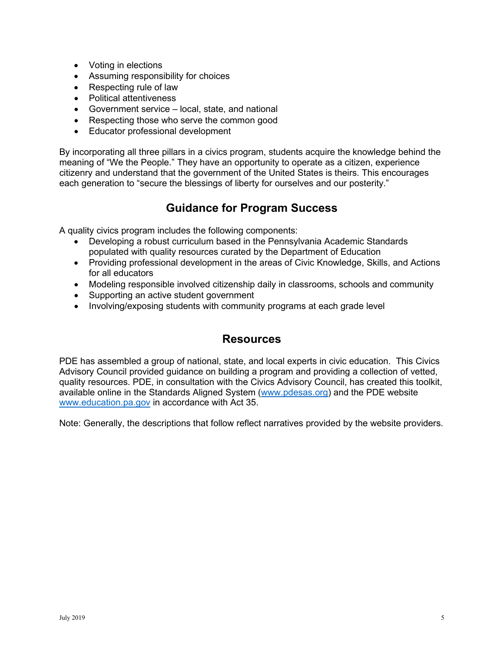- Voting in elections
- Assuming responsibility for choices
- Respecting rule of law
- Political attentiveness
- Government service local, state, and national
- Respecting those who serve the common good
- Educator professional development

 By incorporating all three pillars in a civics program, students acquire the knowledge behind the meaning of "We the People." They have an opportunity to operate as a citizen, experience citizenry and understand that the government of the United States is theirs. This encourages each generation to "secure the blessings of liberty for ourselves and our posterity."

### **Guidance for Program Success**

A quality civics program includes the following components:

- Developing a robust curriculum based in the Pennsylvania Academic Standards populated with quality resources curated by the Department of Education
- • Providing professional development in the areas of Civic Knowledge, Skills, and Actions for all educators
- Modeling responsible involved citizenship daily in classrooms, schools and community
- Supporting an active student government
- Involving/exposing students with community programs at each grade level

### **Resources**

 PDE has assembled a group of national, state, and local experts in civic education. This Civics Advisory Council provided guidance on building a program and providing a collection of vetted, quality resources. PDE, in consultation with the Civics Advisory Council, has created this toolkit, available online in the Standards Aligned System [\(](http://www.pdesas.org/)<www.pdesas.org>[\)](http://www.pdesas.org/) and the PDE website <www.education.pa.gov>in accordance with Act 35.

Note: Generally, the descriptions that follow reflect narratives provided by the website providers.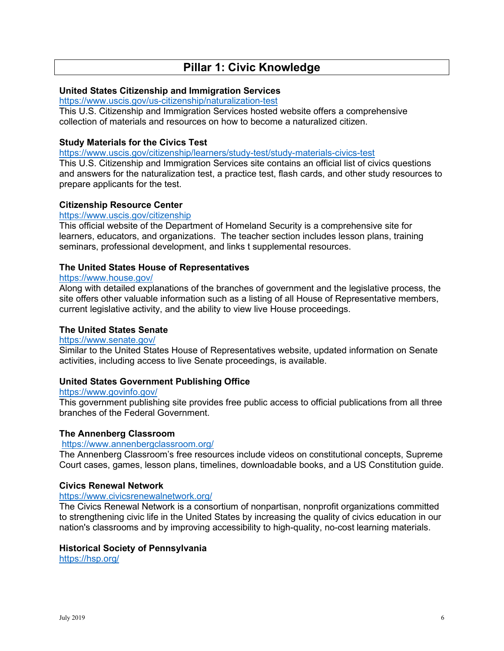### **Pillar 1: Civic Knowledge**

#### **United States Citizenship and Immigration Services**

https://www.uscis.gov/us-citizenship/naturalization-test

This U.S. Citizenship and Immigration Services hosted website offers a comprehensive collection of materials and resources on how to become a naturalized citizen.

#### **Study Materials for the Civics Test**

<https://www.uscis.gov/citizenship/learners/study-test/study-materials-civics-test>

This U.S. Citizenship and Immigration Services site contains an official list of civics questions and answers for the naturalization test, a practice test, flash cards, and other study resources to prepare applicants for the test.

#### **Citizenship Resource Center**

<https://www.uscis.gov/citizenship>

 learners, educators, and organizations. The teacher section includes lesson plans, training This official website of the Department of Homeland Security is a comprehensive site for seminars, professional development, and links t supplemental resources.

#### **The United States House of Representatives**

#### https://www.house.gov/

Along with detailed explanations of the branches of government and the legislative process, the site offers other valuable information such as a listing of all House of Representative members, current legislative activity, and the ability to view live House proceedings.

#### **The United States Senate**

#### <https://www.senate.gov/>

Similar to the United States House of Representatives website, updated information on Senate activities, including access to live Senate proceedings, is available.

#### **United States Government Publishing Office**

#### https://www.govinfo.gov/

<u>https://www.govinfo.gov/</u><br>This government publishing site provides free public access to official publications from all three branches of the Federal Government.

#### **The Annenberg Classroom**

#### https://www.annenbergclassroom.org/

The Annenberg Classroom's free resources include videos on constitutional concepts, Supreme Court cases, games, lesson plans, timelines, downloadable books, and a US Constitution guide.

#### **Civics Renewal Network**

#### https://www.civicsrenewalnetwork.org/

The Civics Renewal Network is a consortium of nonpartisan, nonprofit organizations committed to strengthening civic life in the United States by increasing the quality of civics education in our nation's classrooms and by improving accessibility to high-quality, no-cost learning materials.

#### **Historical Society of Pennsylvania**

<https://hsp.org/>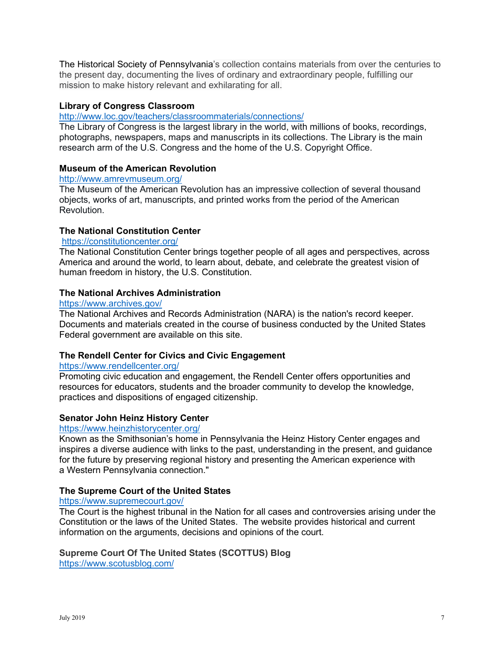The Historical Society of Pennsylvania's collection contains materials from over the centuries to the present day, documenting the lives of ordinary and extraordinary people, fulfilling our mission to make history relevant and exhilarating for all.

#### **Library of Congress Classroom**

#### <http://www.loc.gov/teachers/classroommaterials/connections/>

 The Library of Congress is the largest library in the world, with millions of books, recordings, photographs, newspapers, maps and manuscripts in its collections. The Library is the main research arm of the U.S. Congress and the home of the U.S. Copyright Office.

#### **Museum of the American Revolution**

#### http://www.amrevmuseum.org/

The Museum of the American Revolution has an impressive collection of several thousand objects, works of art, manuscripts, and printed works from the period of the American Revolution.

#### **The National Constitution Center**

#### https://constitutioncenter.org/

 America and around the world, to learn about, debate, and celebrate the greatest vision of The National Constitution Center brings together people of all ages and perspectives, across human freedom in history, the U.S. Constitution.

#### **The National Archives Administration**

#### https://www.archives.gov/

The National Archives and Records Administration (NARA) is the nation's record keeper. Documents and materials created in the course of business conducted by the United States Federal government are available on this site.

#### **The Rendell Center for Civics and Civic Engagement**

#### https://www.rendellcenter.org/

<u>https://www.rendellcenter.org/</u><br>Promoting civic education and engagement, the Rendell Center offers opportunities and resources for educators, students and the broader community to develop the knowledge, practices and dispositions of engaged citizenship.

#### **Senator John Heinz History Center**

#### <https://www.heinzhistorycenter.org/>

 inspires a diverse audience with links to the past, understanding in the present, and guidance Known as the Smithsonian's home in Pennsylvania the Heinz History Center engages and for the future by preserving regional history and presenting the American experience with a Western Pennsylvania connection."

#### **The Supreme Court of the United States**

#### https://www.supremecourt.gov/

<u>https://www.supremecourt.gov/</u><br>The Court is the highest tribunal in the Nation for all cases and controversies arising under the Constitution or the laws of the United States. The website provides historical and current information on the arguments, decisions and opinions of the court.

#### **Supreme Court Of The United States (SCOTTUS) Blog**

<https://www.scotusblog.com/>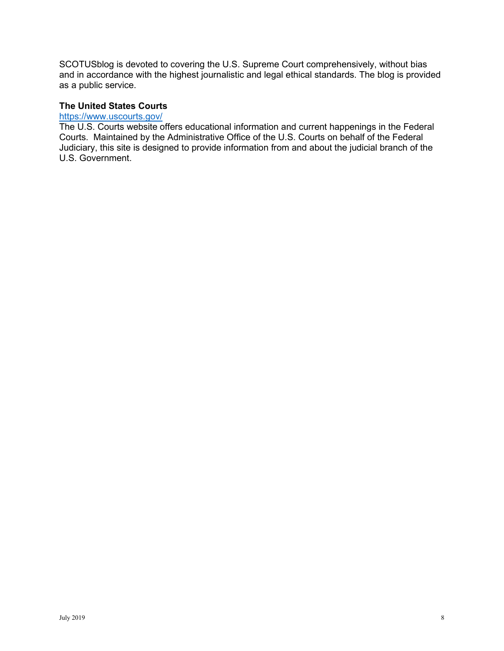SCOTUSblog is devoted to covering the U.S. Supreme Court comprehensively, without bias and in accordance with the highest journalistic and legal ethical standards. The blog is provided as a public service.

### **The United States Courts**

#### <https://www.uscourts.gov/>

 Courts. Maintained by the Administrative Office of the U.S. Courts on behalf of the Federal U.S. Government. The U.S. Courts website offers educational information and current happenings in the Federal Judiciary, this site is designed to provide information from and about the judicial branch of the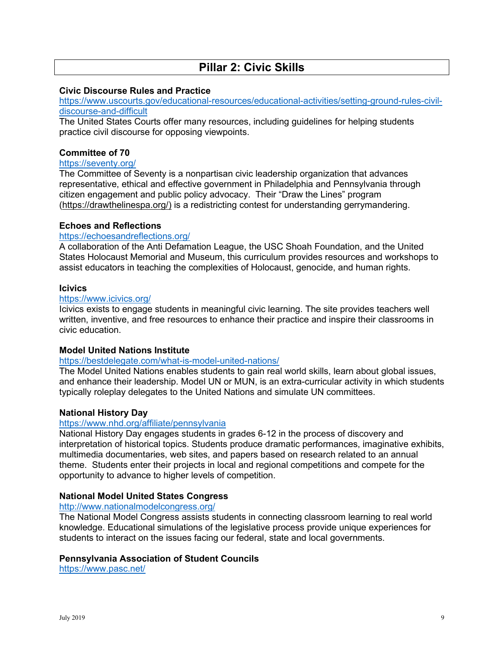### **Pillar 2: Civic Skills**

#### **Civic Discourse Rules and Practice**

[https://www.uscourts.gov/educational-resources/educational-activities/setting-ground-rules-civil](https://www.uscourts.gov/educational-resources/educational-activities/setting-ground-rules-civil-discourse-and-difficult)[discourse-and-difficult](https://www.uscourts.gov/educational-resources/educational-activities/setting-ground-rules-civil-discourse-and-difficult) 

 practice civil discourse for opposing viewpoints. The United States Courts offer many resources, including guidelines for helping students

#### **Committee of 70**

#### https://seventy.org/

 citizen engagement and public policy advocacy. Their "Draw the Lines" program [\(https://drawthelinespa.org/\)](https://drawthelinespa.org/) is a redistricting contest for understanding gerrymandering. The Committee of Seventy is a nonpartisan civic leadership organization that advances representative, ethical and effective government in Philadelphia and Pennsylvania through

#### **Echoes and Reflections**

#### https://echoesandreflections.org/

<u>https://echoesandreflections.org/</u><br>A collaboration of the Anti Defamation League, the USC Shoah Foundation, and the United States Holocaust Memorial and Museum, this curriculum provides resources and workshops to assist educators in teaching the complexities of Holocaust, genocide, and human rights.

#### **Icivics**

#### https://www.icivics.org/

lcivics exists to engage students in meaningful civic learning. The site provides teachers well written, inventive, and free resources to enhance their practice and inspire their classrooms in civic education.

#### **Model United Nations Institute**

#### https://bestdelegate.com/what-is-model-united-nations/

<u>https://bestdelegate.com/what-is-model-united-nations/</u><br>The Model United Nations enables students to gain real world skills, learn about global issues, and enhance their leadership. Model UN or MUN, is an extra-curricular activity in which students typically roleplay delegates to the United Nations and simulate UN committees.

#### **National History Day**

#### https://www.nhd.org/affiliate/pennsylvania

 opportunity to advance to higher levels of competition. National History Day engages students in grades 6-12 in the process of discovery and interpretation of historical topics. Students produce dramatic performances, imaginative exhibits, multimedia documentaries, web sites, and papers based on research related to an annual theme. Students enter their projects in local and regional competitions and compete for the

#### **National Model United States Congress**

#### <http://www.nationalmodelcongress.org/>

 students to interact on the issues facing our federal, state and local governments. The National Model Congress assists students in connecting classroom learning to real world knowledge. Educational simulations of the legislative process provide unique experiences for

#### **Pennsylvania Association of Student Councils**

<https://www.pasc.net/>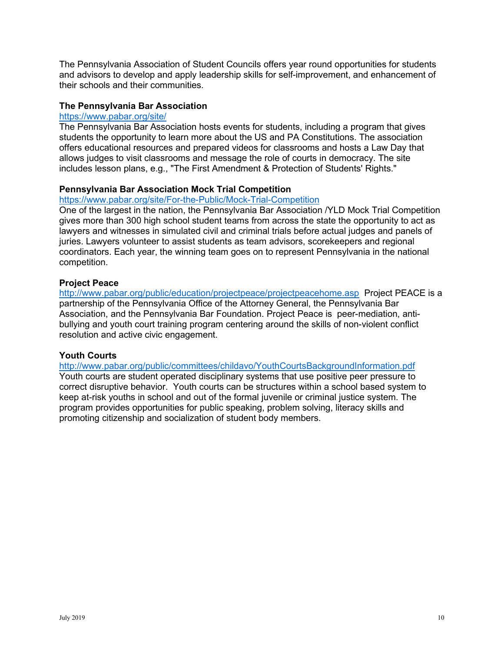The Pennsylvania Association of Student Councils offers year round opportunities for students and advisors to develop and apply leadership skills for self-improvement, and enhancement of their schools and their communities.

#### **The Pennsylvania Bar Association**

#### <https://www.pabar.org/site/>

 The Pennsylvania Bar Association hosts events for students, including a program that gives offers educational resources and prepared videos for classrooms and hosts a Law Day that allows judges to visit classrooms and message the role of courts in democracy. The site students the opportunity to learn more about the US and PA Constitutions. The association includes lesson plans, e.g., "The First Amendment & Protection of Students' Rights."

#### **Pennsylvania Bar Association Mock Trial Competition**

#### https://www.pabar.org/site/For-the-Public/Mock-Trial-Competition

One of the largest in the nation, the Pennsylvania Bar Association /YLD Mock Trial Competition gives more than 300 high school student teams from across the state the opportunity to act as lawyers and witnesses in simulated civil and criminal trials before actual judges and panels of juries. Lawyers volunteer to assist students as team advisors, scorekeepers and regional coordinators. Each year, the winning team goes on to represent Pennsylvania in the national competition.

#### **Project Peace**

 <http://www.pabar.org/public/education/projectpeace/projectpeacehome.asp>Project PEACE is a bullying and youth court training program centering around the skills of non-violent conflict partnership of the Pennsylvania Office of the Attorney General, the Pennsylvania Bar Association, and the Pennsylvania Bar Foundation. Project Peace is peer-mediation, antiresolution and active civic engagement.

#### **Youth Courts**

 <http://www.pabar.org/public/committees/childavo/YouthCourtsBackgroundInformation.pdf> keep at-risk youths in school and out of the formal juvenile or criminal justice system. The Youth courts are student operated disciplinary systems that use positive peer pressure to correct disruptive behavior. Youth courts can be structures within a school based system to program provides opportunities for public speaking, problem solving, literacy skills and promoting citizenship and socialization of student body members.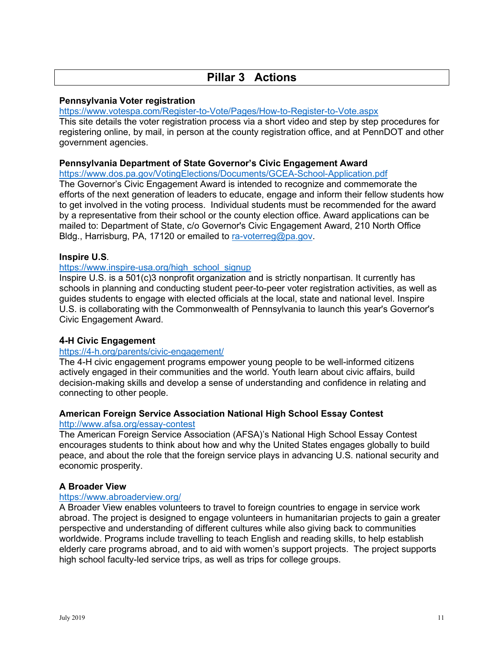## **Pillar 3 Actions**

#### **Pennsylvania Voter registration**

https://www.votespa.com/Register-to-Vote/Pages/How-to-Register-to-Vote.aspx

This site details the voter registration process via a short video and step by step procedures for registering online, by mail, in person at the county registration office, and at PennDOT and other government agencies.

#### **Pennsylvania Department of State Governor's Civic Engagement Award**

https://www.dos.pa.gov/VotingElections/Documents/GCEA-School-Application.pdf

 to get involved in the voting process. Individual students must be recommended for the award mailed to: Department of State, c/o Governor's Civic Engagement Award, 210 North Office The Governor's Civic Engagement Award is intended to recognize and commemorate the efforts of the next generation of leaders to educate, engage and inform their fellow students how by a representative from their school or the county election office. Award applications can be Bldg., Harrisburg, PA, 17120 or emailed to [ra-voterreg@pa.gov.](mailto:ra-voterreg@pa.gov)

#### Inspire U.S.

#### https://www.inspire-usa.org/high school signup

 guides students to engage with elected officials at the local, state and national level. Inspire Inspire U.S. is a 501(c)3 nonprofit organization and is strictly nonpartisan. It currently has schools in planning and conducting student peer-to-peer voter registration activities, as well as U.S. is collaborating with the Commonwealth of Pennsylvania to launch this year's Governor's Civic Engagement Award.

#### **4-H Civic Engagement**

#### https://4-h.org/parents/civic-engagement/

The 4-H civic engagement programs empower young people to be well-informed citizens actively engaged in their communities and the world. Youth learn about civic affairs, build decision-making skills and develop a sense of understanding and confidence in relating and connecting to other people.

#### **American Foreign Service Association National High School Essay Contest**

#### http://www.afsa.org/essay-contest

 peace, and about the role that the foreign service plays in advancing U.S. national security and The American Foreign Service Association (AFSA)'s National High School Essay Contest encourages students to think about how and why the United States engages globally to build economic prosperity.

#### **A Broader View**

#### https://www.abroaderview.org/

 elderly care programs abroad, and to aid with women's support projects. The project supports A Broader View enables volunteers to travel to foreign countries to engage in service work abroad. The project is designed to engage volunteers in humanitarian projects to gain a greater perspective and understanding of different cultures while also giving back to communities worldwide. Programs include travelling to teach English and reading skills, to help establish high school faculty-led service trips, as well as trips for college groups.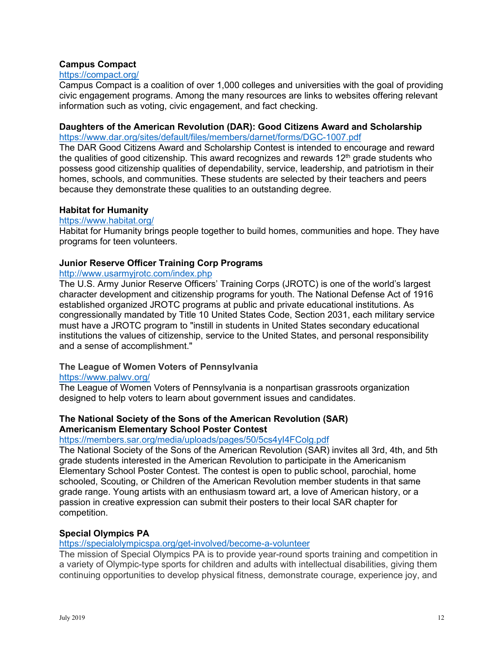#### **Campus Compact**

#### https://compact.org/

 civic engagement programs. Among the many resources are links to websites offering relevant Campus Compact is a coalition of over 1,000 colleges and universities with the goal of providing information such as voting, civic engagement, and fact checking.

#### **Daughters of the American Revolution (DAR): Good Citizens Award and Scholarship**

https://www.dar.org/sites/default/files/members/darnet/forms/DGC-1007.pdf

 homes, schools, and communities. These students are selected by their teachers and peers The DAR Good Citizens Award and Scholarship Contest is intended to encourage and reward the qualities of good citizenship. This award recognizes and rewards  $12<sup>th</sup>$  grade students who possess good citizenship qualities of dependability, service, leadership, and patriotism in their because they demonstrate these qualities to an outstanding degree.

#### **Habitat for Humanity**

#### https://www.habitat.org/

Habitat for Humanity brings people together to build homes, communities and hope. They have programs for teen volunteers.

#### **Junior Reserve Officer Training Corp Programs**

#### http://www.usarmyjrotc.com/index.php

The U.S. Army Junior Reserve Officers' Training Corps (JROTC) is one of the world's largest character development and citizenship programs for youth. The National Defense Act of 1916 established organized JROTC programs at public and private educational institutions. As congressionally mandated by Title 10 United States Code, Section 2031, each military service must have a JROTC program to "instill in students in United States secondary educational institutions the values of citizenship, service to the United States, and personal responsibility and a sense of accomplishment."

#### **The League of Women Voters of Pennsylvania**

#### <https://www.palwv.org/>

 designed to help voters to learn about government issues and candidates. The League of Women Voters of Pennsylvania is a nonpartisan grassroots organization

#### **Americanism Elementary School Poster Contest The National Society of the Sons of the American Revolution (SAR)**

#### https://members.sar.org/media/uploads/pages/50/5cs4yl4FColg.pdf

 Elementary School Poster Contest. The contest is open to public school, parochial, home The National Society of the Sons of the American Revolution (SAR) invites all 3rd, 4th, and 5th grade students interested in the American Revolution to participate in the Americanism schooled, Scouting, or Children of the American Revolution member students in that same grade range. Young artists with an enthusiasm toward art, a love of American history, or a passion in creative expression can submit their posters to their local SAR chapter for competition.

#### **Special Olympics PA**

#### https://specialolympicspa.org/get-involved/become-a-volunteer

The mission of Special Olympics PA is to provide year-round sports training and competition in a variety of Olympic-type sports for children and adults with intellectual disabilities, giving them continuing opportunities to develop physical fitness, demonstrate courage, experience joy, and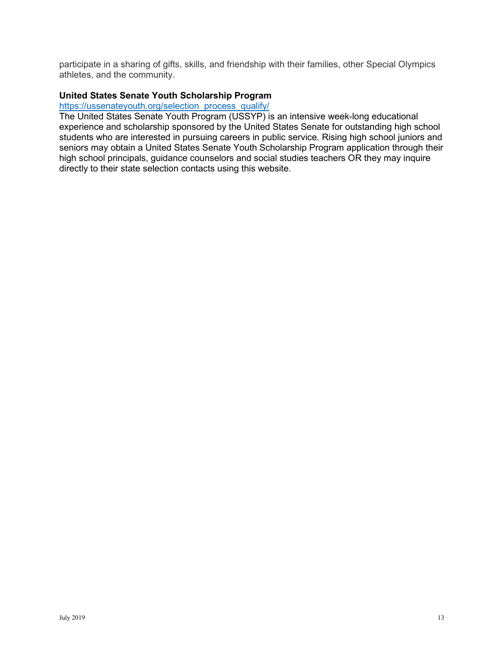participate in a sharing of gifts, skills, and friendship with their families, other Special Olympics athletes, and the community.

#### **United States Senate Youth Scholarship Program**

#### https://ussenateyouth.org/selection process qualify/

 high school principals, guidance counselors and social studies teachers OR they may inquire directly to their state selection contacts using this website. The United States Senate Youth Program (USSYP) is an intensive week-long educational experience and scholarship sponsored by the United States Senate for outstanding high school students who are interested in pursuing careers in public service. Rising high school juniors and seniors may obtain a United States Senate Youth Scholarship Program application through their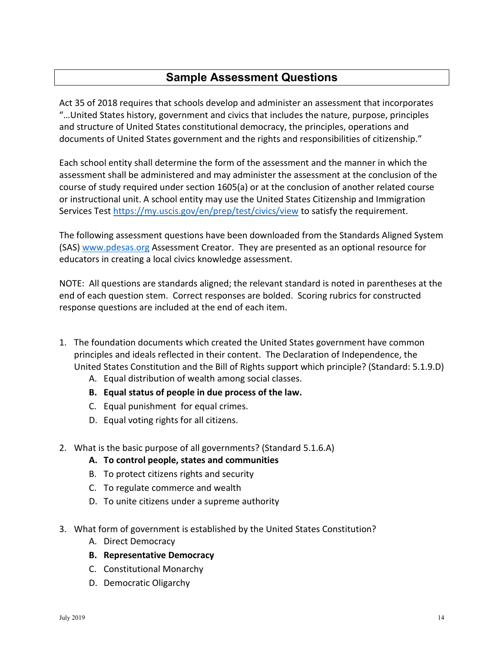## **Sample Assessment Questions**

 Act 35 of 2018 requires that schools develop and administer an assessment that incorporates "…United States history, government and civics that includes the nature, purpose, principles and structure of United States constitutional democracy, the principles, operations and documents of United States government and the rights and responsibilities of citizenship."

 Each school entity shall determine the form of the assessment and the manner in which the assessment shall be administered and may administer the assessment at the conclusion of the course of study required under section 1605(a) or at the conclusion of another related course or instructional unit. A school entity may use the United States Citizenship and Immigration Services Test<https://my.uscis.gov/en/prep/test/civics/view>to satisfy the requirement.

 The following assessment questions have been downloaded from the Standards Aligned System (SAS) [www.pdesas.org](http://www.pdesas.org/) Assessment Creator. They are presented as an optional resource for educators in creating a local civics knowledge assessment.

 NOTE: All questions are standards aligned; the relevant standard is noted in parentheses at the end of each question stem. Correct responses are bolded. Scoring rubrics for constructed response questions are included at the end of each item.

- principles and ideals reflected in their content. The Declaration of Independence, the 1. The foundation documents which created the United States government have common United States Constitution and the Bill of Rights support which principle? (Standard: 5.1.9.D)
	- A. Equal distribution of wealth among social classes.
	- **B. Equal status of people in due process of the law.**
	- C. Equal punishment for equal crimes.
	- D. Equal voting rights for all citizens.
- 2. What is the basic purpose of all governments? (Standard 5.1.6.A)
	- **A. To control people, states and communities**
	- B. To protect citizens rights and security
	- C. To regulate commerce and wealth
	- D. To unite citizens under a supreme authority
- 3. What form of government is established by the United States Constitution?
	- A. Direct Democracy
	- **B. Representative Democracy**
	- C. Constitutional Monarchy
	- D. Democratic Oligarchy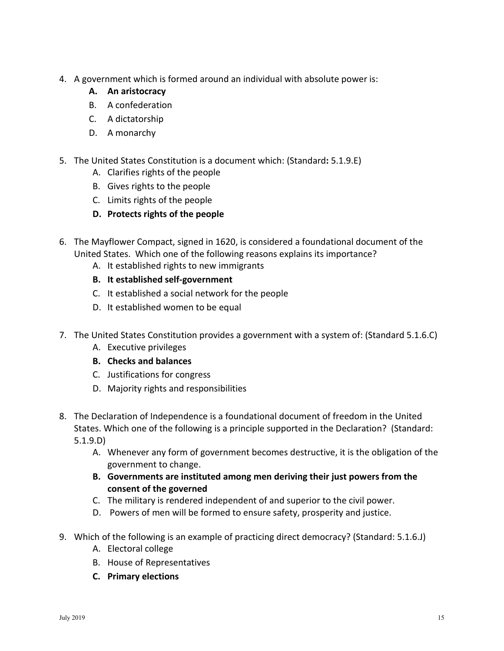- 4. A government which is formed around an individual with absolute power is:
	- **A. An aristocracy**
	- B. A confederation
	- C. A dictatorship
	- D. A monarchy
- 5. The United States Constitution is a document which: (Standard**:** 5.1.9.E)
	- A. Clarifies rights of the people
	- B. Gives rights to the people
	- C. Limits rights of the people
	- **D. Protects rights of the people**
- 6. The Mayflower Compact, signed in 1620, is considered a foundational document of the United States. Which one of the following reasons explains its importance?
	- A. It established rights to new immigrants
	- **B. It established self-government**
	- C. It established a social network for the people
	- D. It established women to be equal
- 7. The United States Constitution provides a government with a system of: (Standard 5.1.6.C)
	- A. Executive privileges
	- **B. Checks and balances**
	- C. Justifications for congress
	- D. Majority rights and responsibilities
- States. Which one of the following is a principle supported in the Declaration? (Standard:  $5.1.9.D)$ 8. The Declaration of Independence is a foundational document of freedom in the United
	- 5.1.9.D)<br>A. Whenever any form of government becomes destructive, it is the obligation of the<br>government to change.
		- **B. Governments are instituted among men deriving their just powers from the consent of the governed**
		- C. The military is rendered independent of and superior to the civil power.
		- D. Powers of men will be formed to ensure safety, prosperity and justice.
- 9. Which of the following is an example of practicing direct democracy? (Standard: 5.1.6.J)
	- A. Electoral college
	- B. House of Representatives
	- **C. Primary elections**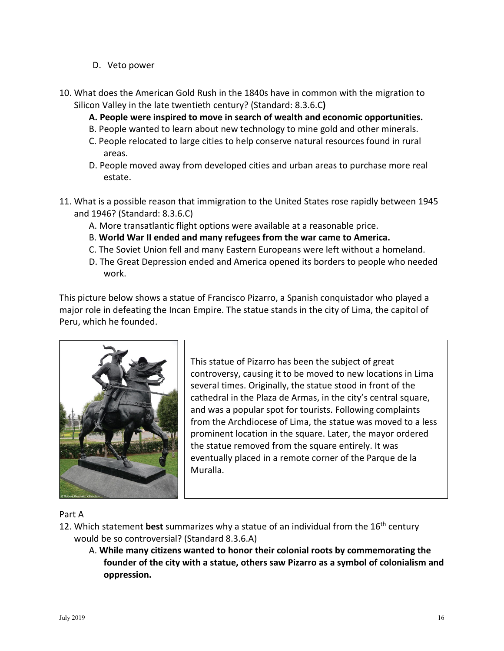- D. Veto power
- 10. What does the American Gold Rush in the 1840s have in common with the migration to Silicon Valley in the late twentieth century? (Standard: 8.3.6.C**)** 
	- **A. People were inspired to move in search of wealth and economic opportunities.**
	- B. People wanted to learn about new technology to mine gold and other minerals.
	- C. People relocated to large cities to help conserve natural resources found in rural areas.
	- D. People moved away from developed cities and urban areas to purchase more real estate.
- 11. What is a possible reason that immigration to the United States rose rapidly between 1945 and 1946? (Standard: 8.3.6.C)
	- A. More transatlantic flight options were available at a reasonable price.
	- B. **World War II ended and many refugees from the war came to America.**
	- C. The Soviet Union fell and many Eastern Europeans were left without a homeland.
	- D. The Great Depression ended and America opened its borders to people who needed work.

Peru, which he founded. This picture below shows a statue of Francisco Pizarro, a Spanish conquistador who played a major role in defeating the Incan Empire. The statue stands in the city of Lima, the capitol of



 several times. Originally, the statue stood in front of the cathedral in the Plaza de Armas, in the city's central square, eventually placed in a remote corner of the Parque de la This statue of Pizarro has been the subject of great controversy, causing it to be moved to new locations in Lima and was a popular spot for tourists. Following complaints from the Archdiocese of Lima, the statue was moved to a less prominent location in the square. Later, the mayor ordered the statue removed from the square entirely. It was Muralla.

Part A

- 12. Which statement **best** summarizes why a statue of an individual from the 16th century would be so controversial? (Standard 8.3.6.A)
	- A. **While many citizens wanted to honor their colonial roots by commemorating the founder of the city with a statue, others saw Pizarro as a symbol of colonialism and oppression.**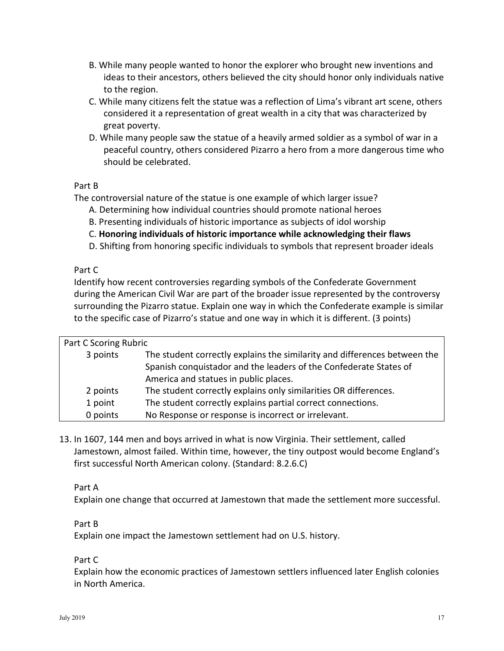- B. While many people wanted to honor the explorer who brought new inventions and ideas to their ancestors, others believed the city should honor only individuals native to the region.
- C. While many citizens felt the statue was a reflection of Lima's vibrant art scene, others considered it a representation of great wealth in a city that was characterized by great poverty.
- peaceful country, others considered Pizarro a hero from a more dangerous time who D. While many people saw the statue of a heavily armed soldier as a symbol of war in a should be celebrated.

#### Part B

The controversial nature of the statue is one example of which larger issue?

- A. Determining how individual countries should promote national heroes
- B. Presenting individuals of historic importance as subjects of idol worship
- C. **Honoring individuals of historic importance while acknowledging their flaws**
- D. Shifting from honoring specific individuals to symbols that represent broader ideals

#### Part C

 during the American Civil War are part of the broader issue represented by the controversy Identify how recent controversies regarding symbols of the Confederate Government surrounding the Pizarro statue. Explain one way in which the Confederate example is similar to the specific case of Pizarro's statue and one way in which it is different. (3 points)

| Part C Scoring Rubric |                                                                           |
|-----------------------|---------------------------------------------------------------------------|
| 3 points              | The student correctly explains the similarity and differences between the |
|                       | Spanish conquistador and the leaders of the Confederate States of         |
|                       | America and statues in public places.                                     |
| 2 points              | The student correctly explains only similarities OR differences.          |
| 1 point               | The student correctly explains partial correct connections.               |
| 0 points              | No Response or response is incorrect or irrelevant.                       |

 Jamestown, almost failed. Within time, however, the tiny outpost would become England's 13. In 1607, 144 men and boys arrived in what is now Virginia. Their settlement, called first successful North American colony. (Standard: 8.2.6.C)

### Part A

Explain one change that occurred at Jamestown that made the settlement more successful.

#### Part B

Explain one impact the Jamestown settlement had on U.S. history.

#### Part C

 Explain how the economic practices of Jamestown settlers influenced later English colonies in North America.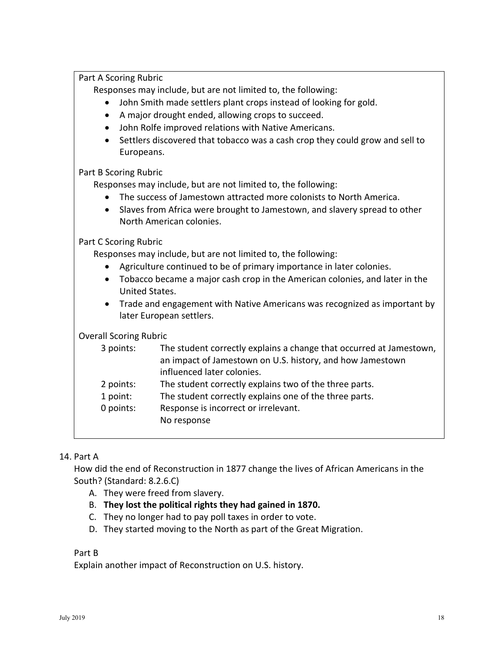Part A Scoring Rubric

Responses may include, but are not limited to, the following:

- John Smith made settlers plant crops instead of looking for gold.
- A major drought ended, allowing crops to succeed.
- John Rolfe improved relations with Native Americans.
- Settlers discovered that tobacco was a cash crop they could grow and sell to Europeans.

Part B Scoring Rubric

Responses may include, but are not limited to, the following:

- The success of Jamestown attracted more colonists to North America.
- • Slaves from Africa were brought to Jamestown, and slavery spread to other North American colonies.

Part C Scoring Rubric

Responses may include, but are not limited to, the following:

- Agriculture continued to be of primary importance in later colonies.
- • Tobacco became a major cash crop in the American colonies, and later in the United States.
- • Trade and engagement with Native Americans was recognized as important by later European settlers.

### Overall Scoring Rubric

| 3 points: | The student correctly explains a change that occurred at Jamestown, |
|-----------|---------------------------------------------------------------------|
|           | an impact of Jamestown on U.S. history, and how Jamestown           |
|           | influenced later colonies.                                          |
| 2 points: | The student correctly explains two of the three parts.              |
| 1 point:  | The student correctly explains one of the three parts.              |
| 0 points: | Response is incorrect or irrelevant.                                |
|           | No response                                                         |
|           |                                                                     |

### 14. Part A

How did the end of Reconstruction in 1877 change the lives of African Americans in the South? (Standard: 8.2.6.C)

- A. They were freed from slavery.
- B. **They lost the political rights they had gained in 1870.**
- C. They no longer had to pay poll taxes in order to vote.
- D. They started moving to the North as part of the Great Migration.

### Part B

Explain another impact of Reconstruction on U.S. history.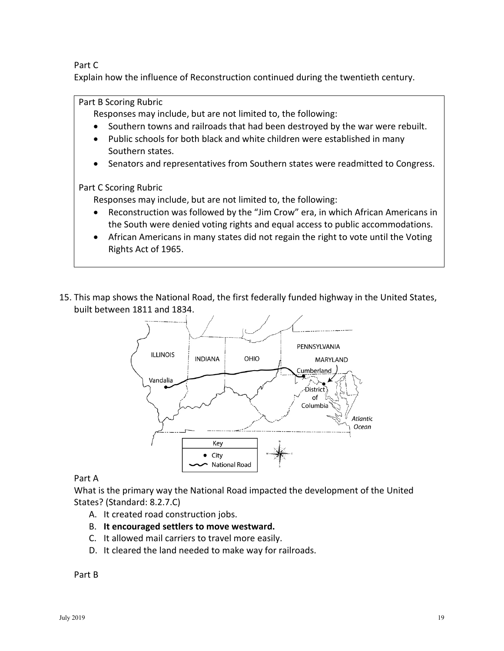Part C

Explain how the influence of Reconstruction continued during the twentieth century.

Part B Scoring Rubric

Responses may include, but are not limited to, the following:

- Southern towns and railroads that had been destroyed by the war were rebuilt.
- Public schools for both black and white children were established in many Southern states.
- Senators and representatives from Southern states were readmitted to Congress.

Part C Scoring Rubric

Responses may include, but are not limited to, the following:

- Reconstruction was followed by the "Jim Crow" era, in which African Americans in the South were denied voting rights and equal access to public accommodations.
- • African Americans in many states did not regain the right to vote until the Voting Rights Act of 1965.
- 15. This map shows the National Road, the first federally funded highway in the United States, built between 1811 and 1834.



Part A

What is the primary way the National Road impacted the development of the United States? (Standard: 8.2.7.C)

- A. It created road construction jobs.
- B. **It encouraged settlers to move westward.**
- C. It allowed mail carriers to travel more easily.
- D. It cleared the land needed to make way for railroads.

Part B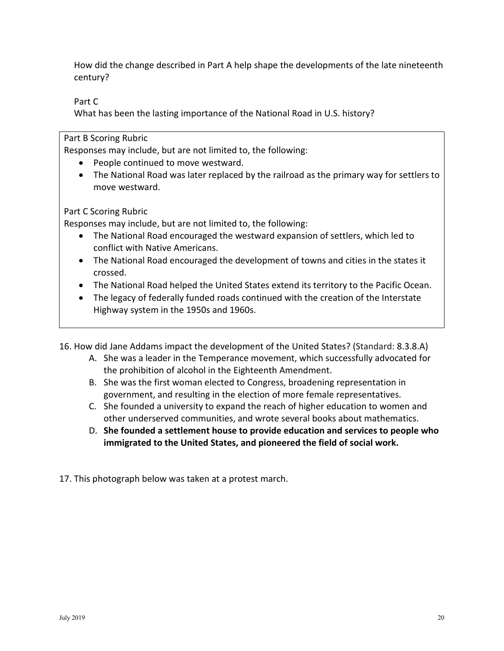How did the change described in Part A help shape the developments of the late nineteenth century?

Part C

What has been the lasting importance of the National Road in U.S. history?

Part B Scoring Rubric

Responses may include, but are not limited to, the following:

- People continued to move westward.
- • The National Road was later replaced by the railroad as the primary way for settlers to move westward.

Part C Scoring Rubric

Responses may include, but are not limited to, the following:

- The National Road encouraged the westward expansion of settlers, which led to conflict with Native Americans.
- The National Road encouraged the development of towns and cities in the states it crossed.
- The National Road helped the United States extend its territory to the Pacific Ocean.
- The legacy of federally funded roads continued with the creation of the Interstate Highway system in the 1950s and 1960s.

16. How did Jane Addams impact the development of the United States? (Standard: 8.3.8.A)

- A. She was a leader in the Temperance movement, which successfully advocated for the prohibition of alcohol in the Eighteenth Amendment.
- B. She was the first woman elected to Congress, broadening representation in government, and resulting in the election of more female representatives.
- C. She founded a university to expand the reach of higher education to women and other underserved communities, and wrote several books about mathematics.
- D. **She founded a settlement house to provide education and services to people who immigrated to the United States, and pioneered the field of social work.**

17. This photograph below was taken at a protest march.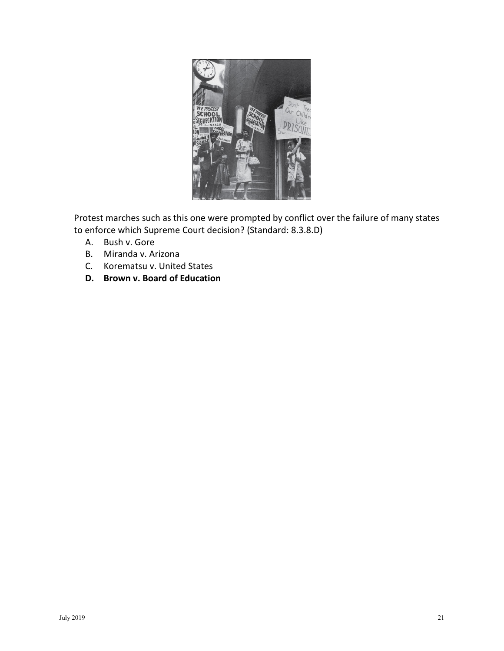

Protest marches such as this one were prompted by conflict over the failure of many states to enforce which Supreme Court decision? (Standard: 8.3.8.D)

- A. Bush v. Gore
- B. Miranda v. Arizona
- C. Korematsu v. United States
- **D. Brown v. Board of Education**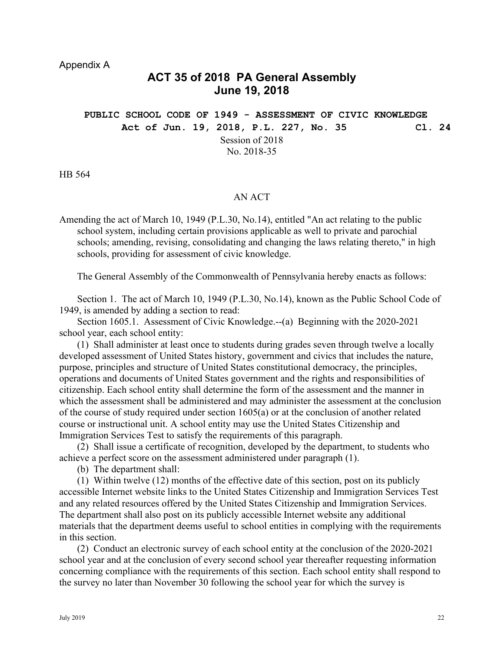### **ACT 35 of 2018 PA General Assembly June 19, 2018**

**PUBLIC SCHOOL CODE OF 1949 - ASSESSMENT OF CIVIC KNOWLEDGE Act of Jun. 19, 2018, P.L. 227, No. 35 Cl. 24**  Session of 2018 No. 2018-35

HB 564

#### AN ACT

Amending the act of March 10, 1949 (P.L.30, No.14), entitled "An act relating to the public school system, including certain provisions applicable as well to private and parochial schools; amending, revising, consolidating and changing the laws relating thereto," in high schools, providing for assessment of civic knowledge.

The General Assembly of the Commonwealth of Pennsylvania hereby enacts as follows:

Section 1. The act of March 10, 1949 (P.L.30, No.14), known as the Public School Code of 1949, is amended by adding a section to read:

Section 1605.1. Assessment of Civic Knowledge.--(a) Beginning with the 2020-2021 school year, each school entity:

(1) Shall administer at least once to students during grades seven through twelve a locally developed assessment of United States history, government and civics that includes the nature, purpose, principles and structure of United States constitutional democracy, the principles, operations and documents of United States government and the rights and responsibilities of citizenship. Each school entity shall determine the form of the assessment and the manner in which the assessment shall be administered and may administer the assessment at the conclusion of the course of study required under section 1605(a) or at the conclusion of another related course or instructional unit. A school entity may use the United States Citizenship and Immigration Services Test to satisfy the requirements of this paragraph.

(2) Shall issue a certificate of recognition, developed by the department, to students who achieve a perfect score on the assessment administered under paragraph (1).

(b) The department shall:

(1) Within twelve (12) months of the effective date of this section, post on its publicly accessible Internet website links to the United States Citizenship and Immigration Services Test and any related resources offered by the United States Citizenship and Immigration Services. The department shall also post on its publicly accessible Internet website any additional materials that the department deems useful to school entities in complying with the requirements in this section.

(2) Conduct an electronic survey of each school entity at the conclusion of the 2020-2021 school year and at the conclusion of every second school year thereafter requesting information concerning compliance with the requirements of this section. Each school entity shall respond to the survey no later than November 30 following the school year for which the survey is